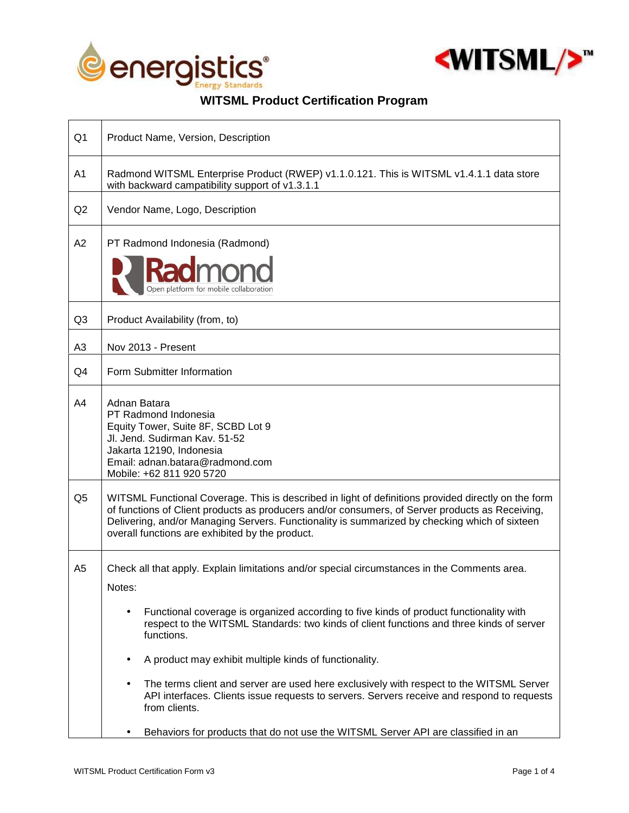



## **WITSML Product Certification Program**

| Q <sub>1</sub> | Product Name, Version, Description                                                                                                                                                                                                                                                                                                                         |
|----------------|------------------------------------------------------------------------------------------------------------------------------------------------------------------------------------------------------------------------------------------------------------------------------------------------------------------------------------------------------------|
| A <sub>1</sub> | Radmond WITSML Enterprise Product (RWEP) v1.1.0.121. This is WITSML v1.4.1.1 data store<br>with backward campatibility support of v1.3.1.1                                                                                                                                                                                                                 |
| Q2             | Vendor Name, Logo, Description                                                                                                                                                                                                                                                                                                                             |
| A2             | PT Radmond Indonesia (Radmond)<br>Open platform for mobile collaboration                                                                                                                                                                                                                                                                                   |
| Q3             | Product Availability (from, to)                                                                                                                                                                                                                                                                                                                            |
| A <sub>3</sub> | Nov 2013 - Present                                                                                                                                                                                                                                                                                                                                         |
| Q4             | Form Submitter Information                                                                                                                                                                                                                                                                                                                                 |
| A4             | Adnan Batara<br>PT Radmond Indonesia<br>Equity Tower, Suite 8F, SCBD Lot 9<br>Jl. Jend. Sudirman Kav. 51-52<br>Jakarta 12190, Indonesia<br>Email: adnan.batara@radmond.com<br>Mobile: +62 811 920 5720                                                                                                                                                     |
| Q <sub>5</sub> | WITSML Functional Coverage. This is described in light of definitions provided directly on the form<br>of functions of Client products as producers and/or consumers, of Server products as Receiving,<br>Delivering, and/or Managing Servers. Functionality is summarized by checking which of sixteen<br>overall functions are exhibited by the product. |
| A <sub>5</sub> | Check all that apply. Explain limitations and/or special circumstances in the Comments area.<br>Notes:                                                                                                                                                                                                                                                     |
|                | Functional coverage is organized according to five kinds of product functionality with<br>٠<br>respect to the WITSML Standards: two kinds of client functions and three kinds of server<br>functions.                                                                                                                                                      |
|                | A product may exhibit multiple kinds of functionality.                                                                                                                                                                                                                                                                                                     |
|                | The terms client and server are used here exclusively with respect to the WITSML Server<br>API interfaces. Clients issue requests to servers. Servers receive and respond to requests<br>from clients.                                                                                                                                                     |
|                | Behaviors for products that do not use the WITSML Server API are classified in an                                                                                                                                                                                                                                                                          |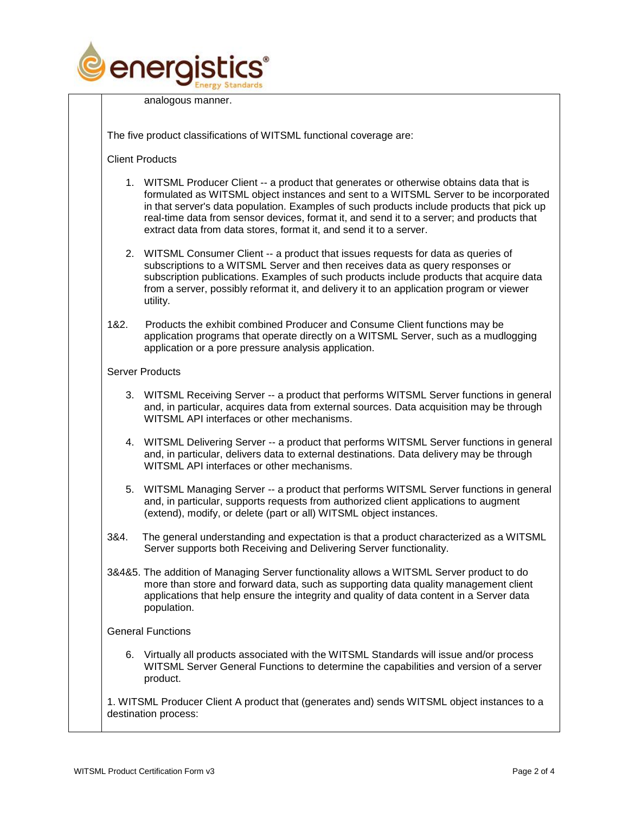

analogous manner.

The five product classifications of WITSML functional coverage are:

Client Products

- 1. WITSML Producer Client -- a product that generates or otherwise obtains data that is formulated as WITSML object instances and sent to a WITSML Server to be incorporated in that server's data population. Examples of such products include products that pick up real-time data from sensor devices, format it, and send it to a server; and products that extract data from data stores, format it, and send it to a server.
- 2. WITSML Consumer Client -- a product that issues requests for data as queries of subscriptions to a WITSML Server and then receives data as query responses or subscription publications. Examples of such products include products that acquire data from a server, possibly reformat it, and delivery it to an application program or viewer utility.
- 1&2. Products the exhibit combined Producer and Consume Client functions may be application programs that operate directly on a WITSML Server, such as a mudlogging application or a pore pressure analysis application.

## Server Products

- 3. WITSML Receiving Server -- a product that performs WITSML Server functions in general and, in particular, acquires data from external sources. Data acquisition may be through WITSML API interfaces or other mechanisms.
- 4. WITSML Delivering Server -- a product that performs WITSML Server functions in general and, in particular, delivers data to external destinations. Data delivery may be through WITSML API interfaces or other mechanisms.
- 5. WITSML Managing Server -- a product that performs WITSML Server functions in general and, in particular, supports requests from authorized client applications to augment (extend), modify, or delete (part or all) WITSML object instances.
- 3&4. The general understanding and expectation is that a product characterized as a WITSML Server supports both Receiving and Delivering Server functionality.
- 3&4&5. The addition of Managing Server functionality allows a WITSML Server product to do more than store and forward data, such as supporting data quality management client applications that help ensure the integrity and quality of data content in a Server data population.

## General Functions

6. Virtually all products associated with the WITSML Standards will issue and/or process WITSML Server General Functions to determine the capabilities and version of a server product.

1. WITSML Producer Client A product that (generates and) sends WITSML object instances to a destination process: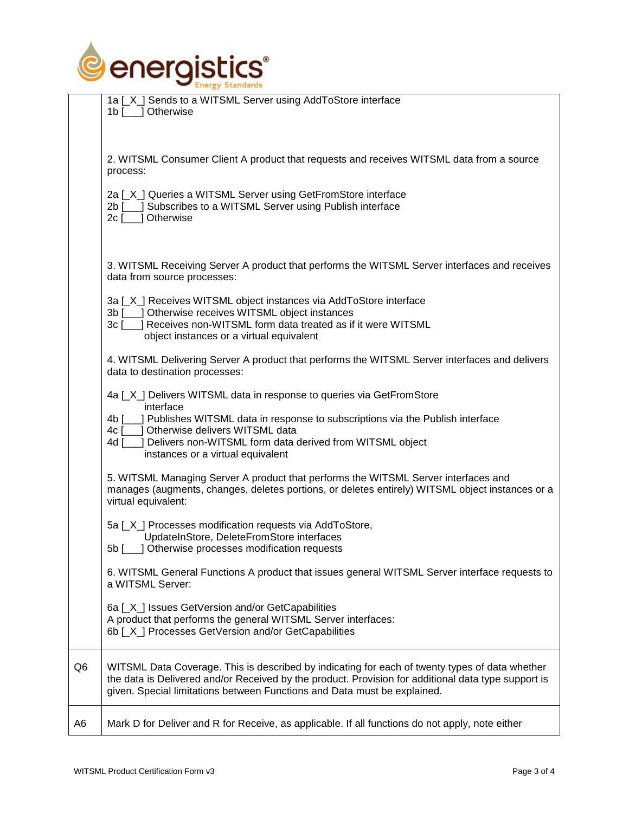

| 1a [X ] Sends to a WITSML Server using AddToStore interface<br>1b [ _] Otherwise                                                                                                                                                                                                                                                  |
|-----------------------------------------------------------------------------------------------------------------------------------------------------------------------------------------------------------------------------------------------------------------------------------------------------------------------------------|
| 2. WITSML Consumer Client A product that requests and receives WITSML data from a source<br>process:                                                                                                                                                                                                                              |
| 2a [X] Queries a WITSML Server using GetFromStore interface<br>2b [___] Subscribes to a WITSML Server using Publish interface<br>2c [___] Otherwise                                                                                                                                                                               |
| 3. WITSML Receiving Server A product that performs the WITSML Server interfaces and receives<br>data from source processes:                                                                                                                                                                                                       |
| 3a [X] Receives WITSML object instances via AddToStore interface<br>3b [___] Otherwise receives WITSML object instances<br>3c [___] Receives non-WITSML form data treated as if it were WITSML                                                                                                                                    |
| object instances or a virtual equivalent<br>4. WITSML Delivering Server A product that performs the WITSML Server interfaces and delivers<br>data to destination processes:                                                                                                                                                       |
| 4a [X] Delivers WITSML data in response to queries via GetFromStore<br>interface<br>] Publishes WITSML data in response to subscriptions via the Publish interface<br>4b [<br>] Otherwise delivers WITSML data<br>4c [<br>J Delivers non-WITSML form data derived from WITSML object<br>4d [<br>instances or a virtual equivalent |
| 5. WITSML Managing Server A product that performs the WITSML Server interfaces and<br>manages (augments, changes, deletes portions, or deletes entirely) WITSML object instances or a<br>virtual equivalent:                                                                                                                      |
| 5a [X] Processes modification requests via AddToStore,<br>UpdateInStore, DeleteFromStore interfaces<br>5b [___] Otherwise processes modification requests                                                                                                                                                                         |
| 6. WITSML General Functions A product that issues general WITSML Server interface requests to<br>a WITSML Server:                                                                                                                                                                                                                 |
| 6a [X] Issues GetVersion and/or GetCapabilities<br>A product that performs the general WITSML Server interfaces:<br>6b [X] Processes GetVersion and/or GetCapabilities                                                                                                                                                            |
| WITSML Data Coverage. This is described by indicating for each of twenty types of data whether<br>the data is Delivered and/or Received by the product. Provision for additional data type support is<br>given. Special limitations between Functions and Data must be explained.                                                 |
| Mark D for Deliver and R for Receive, as applicable. If all functions do not apply, note either                                                                                                                                                                                                                                   |